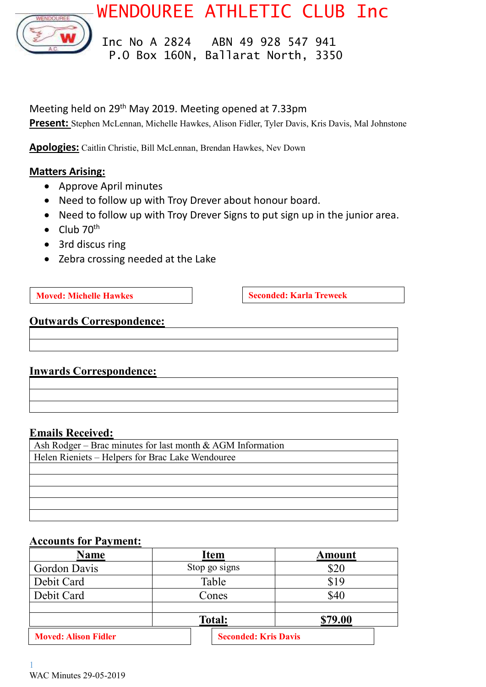



 Inc No A 2824 ABN 49 928 547 941 P.O Box 160N, Ballarat North, 3350

Meeting held on 29<sup>th</sup> May 2019. Meeting opened at 7.33pm

**Present:** Stephen McLennan, Michelle Hawkes, Alison Fidler, Tyler Davis, Kris Davis, Mal Johnstone

**Apologies:** Caitlin Christie, Bill McLennan, Brendan Hawkes, Nev Down

### **Matters Arising:**

- Approve April minutes
- Need to follow up with Troy Drever about honour board.
- Need to follow up with Troy Drever Signs to put sign up in the junior area.
- $\bullet$  Club 70<sup>th</sup>
- 3rd discus ring
- Zebra crossing needed at the Lake

**Moved: Michelle Hawkes Seconded: Karla Treweek** 

## **Outwards Correspondence:**

### **Inwards Correspondence:**

### **Emails Received:**

| Ash Rodger – Brac minutes for last month $&$ AGM Information |
|--------------------------------------------------------------|
| Helen Rieniets – Helpers for Brac Lake Wendouree             |
|                                                              |
|                                                              |
|                                                              |
|                                                              |
|                                                              |

### **Accounts for Payment:**

| <b>Name</b>                 | <b>Item</b>                 | Amount  |  |
|-----------------------------|-----------------------------|---------|--|
| Gordon Davis                | Stop go signs               | \$20    |  |
| Debit Card                  | Table                       | \$19    |  |
| Debit Card                  | Cones                       | \$40    |  |
|                             | <b>Total:</b>               | \$79.00 |  |
| <b>Moved: Alison Fidler</b> | <b>Seconded: Kris Davis</b> |         |  |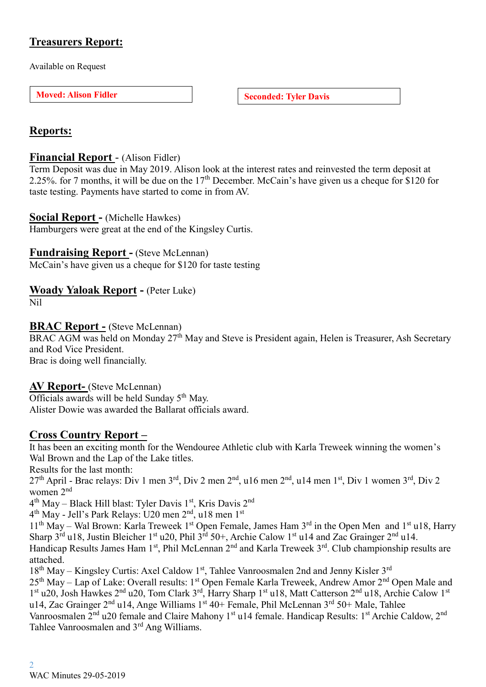# **Treasurers Report:**

Available on Request

**Moved:** Alison Fidler **Seconded:** Tyler Davis

# **Reports:**

# **Financial Report** - (Alison Fidler)

Term Deposit was due in May 2019. Alison look at the interest rates and reinvested the term deposit at 2.25%. for 7 months, it will be due on the 17<sup>th</sup> December. McCain's have given us a cheque for \$120 for taste testing. Payments have started to come in from AV.

## **Social Report -** (Michelle Hawkes)

Hamburgers were great at the end of the Kingsley Curtis.

# **Fundraising Report -** (Steve McLennan)

McCain's have given us a cheque for \$120 for taste testing

# **Woady Yaloak Report -** (Peter Luke)

Nil

## **BRAC Report -** (Steve McLennan)

BRAC AGM was held on Monday 27<sup>th</sup> May and Steve is President again, Helen is Treasurer, Ash Secretary and Rod Vice President.

Brac is doing well financially.

# **AV Report-** (Steve McLennan)

Officials awards will be held Sunday  $5<sup>th</sup>$  May. Alister Dowie was awarded the Ballarat officials award.

# **Cross Country Report –**

It has been an exciting month for the Wendouree Athletic club with Karla Treweek winning the women's Wal Brown and the Lap of the Lake titles.

Results for the last month:

27th April - Brac relays: Div 1 men 3rd, Div 2 men 2nd, u16 men 2nd, u14 men 1st, Div 1 women 3rd, Div 2 women 2nd

4<sup>th</sup> May – Black Hill blast: Tyler Davis 1<sup>st</sup>, Kris Davis 2<sup>nd</sup>

4<sup>th</sup> May - Jell's Park Relays: U20 men 2<sup>nd</sup>, u18 men 1<sup>st</sup>

11<sup>th</sup> May – Wal Brown: Karla Treweek 1<sup>st</sup> Open Female, James Ham 3<sup>rd</sup> in the Open Men and 1<sup>st</sup> u18, Harry Sharp  $3^{\text{rd}}$  u18, Justin Bleicher 1st u20, Phil  $3^{\text{rd}}$  50+, Archie Calow 1st u14 and Zac Grainger  $2^{\text{nd}}$  u14.

Handicap Results James Ham 1<sup>st</sup>, Phil McLennan 2<sup>nd</sup> and Karla Treweek 3<sup>rd</sup>. Club championship results are attached.

18<sup>th</sup> May – Kingsley Curtis: Axel Caldow 1<sup>st</sup>, Tahlee Vanroosmalen 2nd and Jenny Kisler 3<sup>rd</sup>

25<sup>th</sup> May – Lap of Lake: Overall results: 1<sup>st</sup> Open Female Karla Treweek, Andrew Amor 2<sup>nd</sup> Open Male and 1<sup>st</sup> u20, Josh Hawkes 2<sup>nd</sup> u20, Tom Clark 3<sup>rd</sup>, Harry Sharp 1<sup>st</sup> u18, Matt Catterson 2<sup>nd</sup> u18, Archie Calow 1<sup>st</sup> u14, Zac Grainger 2<sup>nd</sup> u14, Ange Williams 1<sup>st</sup> 40+ Female, Phil McLennan 3<sup>rd</sup> 50+ Male, Tahlee Vanroosmalen 2<sup>nd</sup> u20 female and Claire Mahony 1<sup>st</sup> u14 female. Handicap Results: 1<sup>st</sup> Archie Caldow, 2<sup>nd</sup> Tahlee Vanroosmalen and 3rd Ang Williams.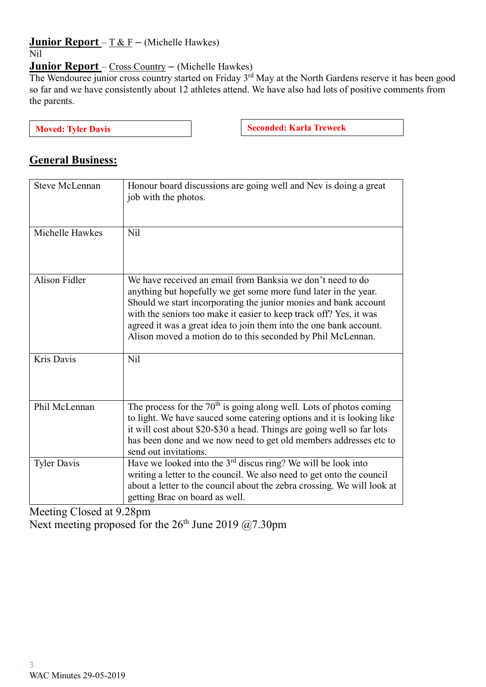# **Junior Report** – T & F **–** (Michelle Hawkes)

### Nil

# **Junior Report** – Cross Country **–** (Michelle Hawkes)

The Wendouree junior cross country started on Friday 3<sup>rd</sup> May at the North Gardens reserve it has been good so far and we have consistently about 12 athletes attend. We have also had lots of positive comments from the parents.

**Moved:** Tyler Davis **Seconded: Seconded: Karla Treweek** 

# **General Business:**

| <b>Steve McLennan</b> | Honour board discussions are going well and Nev is doing a great<br>job with the photos.                                                                                                                                                                                                                                                                                                                     |
|-----------------------|--------------------------------------------------------------------------------------------------------------------------------------------------------------------------------------------------------------------------------------------------------------------------------------------------------------------------------------------------------------------------------------------------------------|
| Michelle Hawkes       | N <sub>il</sub>                                                                                                                                                                                                                                                                                                                                                                                              |
| Alison Fidler         | We have received an email from Banksia we don't need to do<br>anything but hopefully we get some more fund later in the year.<br>Should we start incorporating the junior monies and bank account<br>with the seniors too make it easier to keep track off? Yes, it was<br>agreed it was a great idea to join them into the one bank account.<br>Alison moved a motion do to this seconded by Phil McLennan. |
| Kris Davis            | N <sub>il</sub>                                                                                                                                                                                                                                                                                                                                                                                              |
| Phil McLennan         | The process for the $70th$ is going along well. Lots of photos coming<br>to light. We have sauced some catering options and it is looking like<br>it will cost about \$20-\$30 a head. Things are going well so far lots<br>has been done and we now need to get old members addresses etc to<br>send out invitations.                                                                                       |
| <b>Tyler Davis</b>    | Have we looked into the $3rd$ discus ring? We will be look into<br>writing a letter to the council. We also need to get onto the council<br>about a letter to the council about the zebra crossing. We will look at<br>getting Brac on board as well.                                                                                                                                                        |

Meeting Closed at 9.28pm

Next meeting proposed for the  $26<sup>th</sup>$  June 2019 @7.30pm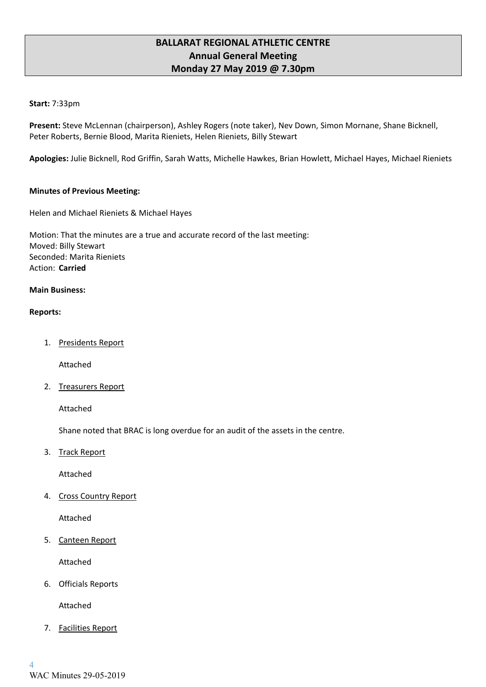### **BALLARAT REGIONAL ATHLETIC CENTRE Annual General Meeting Monday 27 May 2019 @ 7.30pm**

#### **Start:** 7:33pm

**Present:** Steve McLennan (chairperson), Ashley Rogers (note taker), Nev Down, Simon Mornane, Shane Bicknell, Peter Roberts, Bernie Blood, Marita Rieniets, Helen Rieniets, Billy Stewart

**Apologies:** Julie Bicknell, Rod Griffin, Sarah Watts, Michelle Hawkes, Brian Howlett, Michael Hayes, Michael Rieniets

#### **Minutes of Previous Meeting:**

Helen and Michael Rieniets & Michael Hayes

Motion: That the minutes are a true and accurate record of the last meeting: Moved: Billy Stewart Seconded: Marita Rieniets Action: **Carried**

#### **Main Business:**

#### **Reports:**

1. Presidents Report

Attached

2. Treasurers Report

Attached

Shane noted that BRAC is long overdue for an audit of the assets in the centre.

3. Track Report

Attached

4. Cross Country Report

Attached

5. Canteen Report

Attached

6. Officials Reports

Attached

7. Facilities Report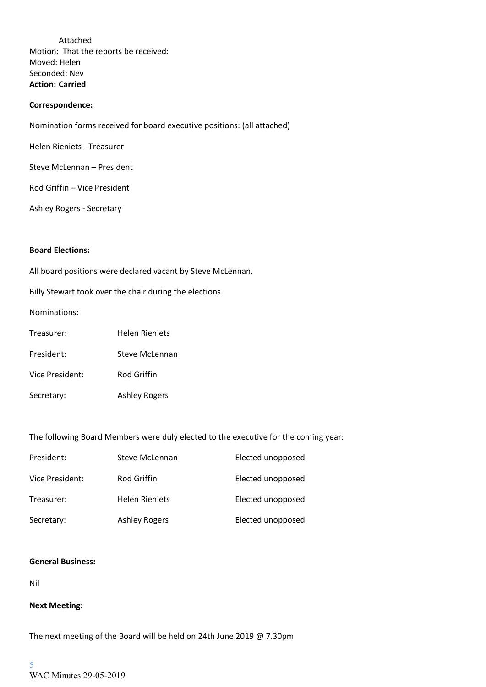Attached Motion: That the reports be received: Moved: Helen Seconded: Nev **Action: Carried**

#### **Correspondence:**

Nomination forms received for board executive positions: (all attached)

Helen Rieniets - Treasurer

Steve McLennan – President

Rod Griffin – Vice President

Ashley Rogers - Secretary

#### **Board Elections:**

All board positions were declared vacant by Steve McLennan.

Billy Stewart took over the chair during the elections.

Nominations:

| Treasurer: | <b>Helen Rieniets</b> |
|------------|-----------------------|
|------------|-----------------------|

- President: Steve McLennan
- Vice President: Rod Griffin
- Secretary: Ashley Rogers

The following Board Members were duly elected to the executive for the coming year:

| President:      | Steve McLennan        | Elected unopposed |
|-----------------|-----------------------|-------------------|
| Vice President: | Rod Griffin           | Elected unopposed |
| Treasurer:      | <b>Helen Rieniets</b> | Elected unopposed |
| Secretary:      | <b>Ashley Rogers</b>  | Elected unopposed |

#### **General Business:**

Nil

#### **Next Meeting:**

The next meeting of the Board will be held on 24th June 2019 @ 7.30pm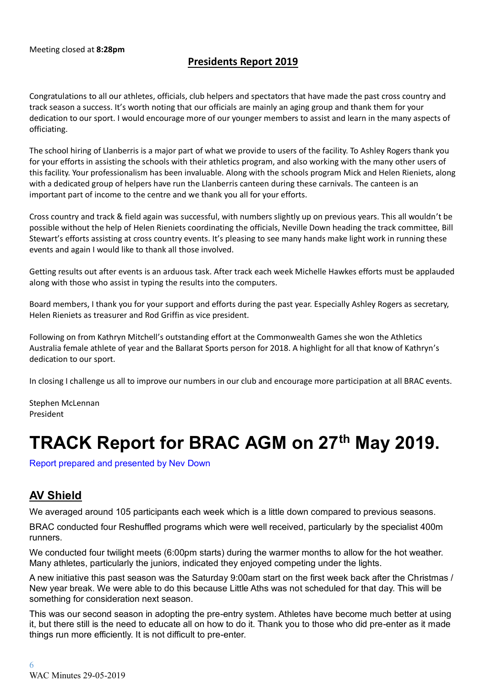## **Presidents Report 2019**

Congratulations to all our athletes, officials, club helpers and spectators that have made the past cross country and track season a success. It's worth noting that our officials are mainly an aging group and thank them for your dedication to our sport. I would encourage more of our younger members to assist and learn in the many aspects of officiating.

The school hiring of Llanberris is a major part of what we provide to users of the facility. To Ashley Rogers thank you for your efforts in assisting the schools with their athletics program, and also working with the many other users of this facility. Your professionalism has been invaluable. Along with the schools program Mick and Helen Rieniets, along with a dedicated group of helpers have run the Llanberris canteen during these carnivals. The canteen is an important part of income to the centre and we thank you all for your efforts.

Cross country and track & field again was successful, with numbers slightly up on previous years. This all wouldn't be possible without the help of Helen Rieniets coordinating the officials, Neville Down heading the track committee, Bill Stewart's efforts assisting at cross country events. It's pleasing to see many hands make light work in running these events and again I would like to thank all those involved.

Getting results out after events is an arduous task. After track each week Michelle Hawkes efforts must be applauded along with those who assist in typing the results into the computers.

Board members, I thank you for your support and efforts during the past year. Especially Ashley Rogers as secretary, Helen Rieniets as treasurer and Rod Griffin as vice president.

Following on from Kathryn Mitchell's outstanding effort at the Commonwealth Games she won the Athletics Australia female athlete of year and the Ballarat Sports person for 2018. A highlight for all that know of Kathryn's dedication to our sport.

In closing I challenge us all to improve our numbers in our club and encourage more participation at all BRAC events.

Stephen McLennan President

# **TRACK Report for BRAC AGM on 27th May 2019.**

Report prepared and presented by Nev Down

# **AV Shield**

We averaged around 105 participants each week which is a little down compared to previous seasons.

BRAC conducted four Reshuffled programs which were well received, particularly by the specialist 400m runners.

We conducted four twilight meets (6:00pm starts) during the warmer months to allow for the hot weather. Many athletes, particularly the juniors, indicated they enjoyed competing under the lights.

A new initiative this past season was the Saturday 9:00am start on the first week back after the Christmas / New year break. We were able to do this because Little Aths was not scheduled for that day. This will be something for consideration next season.

This was our second season in adopting the pre-entry system. Athletes have become much better at using it, but there still is the need to educate all on how to do it. Thank you to those who did pre-enter as it made things run more efficiently. It is not difficult to pre-enter.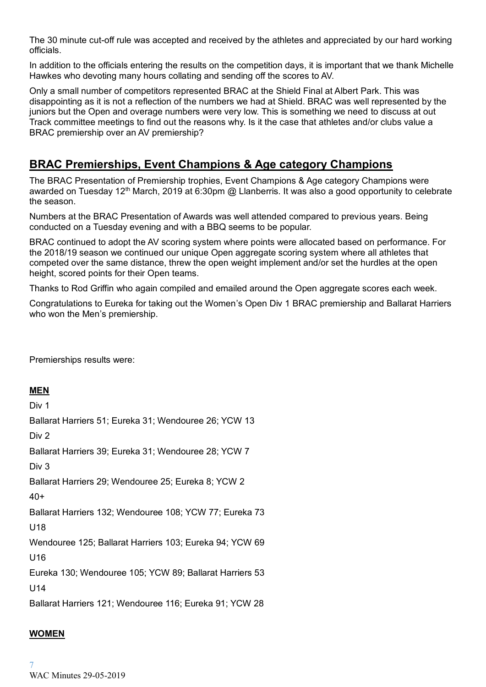The 30 minute cut-off rule was accepted and received by the athletes and appreciated by our hard working officials.

In addition to the officials entering the results on the competition days, it is important that we thank Michelle Hawkes who devoting many hours collating and sending off the scores to AV.

Only a small number of competitors represented BRAC at the Shield Final at Albert Park. This was disappointing as it is not a reflection of the numbers we had at Shield. BRAC was well represented by the juniors but the Open and overage numbers were very low. This is something we need to discuss at out Track committee meetings to find out the reasons why. Is it the case that athletes and/or clubs value a BRAC premiership over an AV premiership?

# **BRAC Premierships, Event Champions & Age category Champions**

The BRAC Presentation of Premiership trophies, Event Champions & Age category Champions were awarded on Tuesday 12<sup>th</sup> March, 2019 at 6:30pm @ Llanberris. It was also a good opportunity to celebrate the season.

Numbers at the BRAC Presentation of Awards was well attended compared to previous years. Being conducted on a Tuesday evening and with a BBQ seems to be popular.

BRAC continued to adopt the AV scoring system where points were allocated based on performance. For the 2018/19 season we continued our unique Open aggregate scoring system where all athletes that competed over the same distance, threw the open weight implement and/or set the hurdles at the open height, scored points for their Open teams.

Thanks to Rod Griffin who again compiled and emailed around the Open aggregate scores each week.

Congratulations to Eureka for taking out the Women's Open Div 1 BRAC premiership and Ballarat Harriers who won the Men's premiership.

Premierships results were:

### **MEN**

Div 1 Ballarat Harriers 51; Eureka 31; Wendouree 26; YCW 13 Div 2 Ballarat Harriers 39; Eureka 31; Wendouree 28; YCW 7 Div 3 Ballarat Harriers 29; Wendouree 25; Eureka 8; YCW 2  $40+$ Ballarat Harriers 132; Wendouree 108; YCW 77; Eureka 73 U18 Wendouree 125; Ballarat Harriers 103; Eureka 94; YCW 69 U16 Eureka 130; Wendouree 105; YCW 89; Ballarat Harriers 53 U14 Ballarat Harriers 121; Wendouree 116; Eureka 91; YCW 28

### **WOMEN**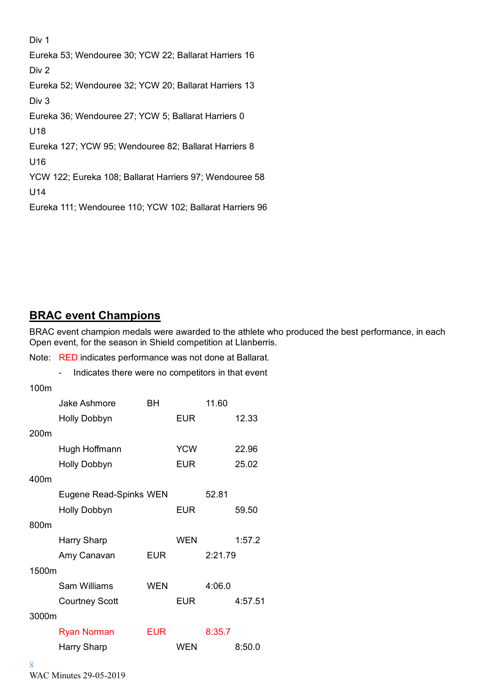Div 1

Eureka 53; Wendouree 30; YCW 22; Ballarat Harriers 16 Div 2 Eureka 52; Wendouree 32; YCW 20; Ballarat Harriers 13 Div 3 Eureka 36; Wendouree 27; YCW 5; Ballarat Harriers 0 U18 Eureka 127; YCW 95; Wendouree 82; Ballarat Harriers 8 U16 YCW 122; Eureka 108; Ballarat Harriers 97; Wendouree 58 U14 Eureka 111; Wendouree 110; YCW 102; Ballarat Harriers 96

**BRAC event Champions**

BRAC event champion medals were awarded to the athlete who produced the best performance, in each Open event, for the season in Shield competition at Llanberris.

Note: RED indicates performance was not done at Ballarat.

- Indicates there were no competitors in that event

100m

|       | Jake Ashmore           | BН         |            | 11.60   |         |
|-------|------------------------|------------|------------|---------|---------|
|       | <b>Holly Dobbyn</b>    |            | <b>EUR</b> |         | 12.33   |
| 200m  |                        |            |            |         |         |
|       | Hugh Hoffmann          |            | <b>YCW</b> |         | 22.96   |
|       | <b>Holly Dobbyn</b>    |            | EUR        |         | 25.02   |
| 400m  |                        |            |            |         |         |
|       | Eugene Read-Spinks WEN |            |            | 52.81   |         |
|       | <b>Holly Dobbyn</b>    |            | <b>EUR</b> |         | 59.50   |
| 800m  |                        |            |            |         |         |
|       | <b>Harry Sharp</b>     |            | <b>WEN</b> |         | 1:57.2  |
|       | Amy Canavan            | <b>EUR</b> |            | 2:21.79 |         |
| 1500m |                        |            |            |         |         |
|       | <b>Sam Williams</b>    | <b>WEN</b> |            | 4:06.0  |         |
|       | <b>Courtney Scott</b>  |            | <b>EUR</b> |         | 4:57.51 |
| 3000m |                        |            |            |         |         |
|       | <b>Ryan Norman</b>     | <b>EUR</b> |            | 8:35.7  |         |
|       | Harry Sharp            |            | <b>WEN</b> |         | 8:50.0  |
|       |                        |            |            |         |         |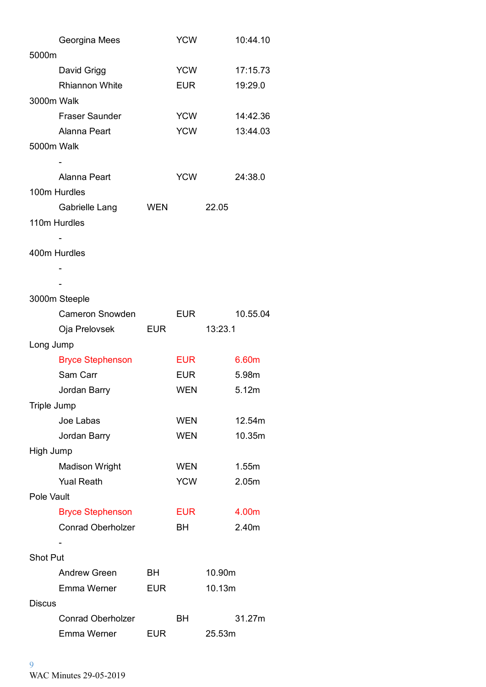|                    | Georgina Mees            |            | <b>YCW</b> |         | 10:44.10 |
|--------------------|--------------------------|------------|------------|---------|----------|
| 5000m              |                          |            |            |         |          |
|                    | David Grigg              |            | <b>YCW</b> |         | 17:15.73 |
|                    | <b>Rhiannon White</b>    |            | <b>EUR</b> |         | 19:29.0  |
| 3000m Walk         |                          |            |            |         |          |
|                    | <b>Fraser Saunder</b>    |            | <b>YCW</b> |         | 14:42.36 |
|                    | Alanna Peart             |            | <b>YCW</b> |         | 13:44.03 |
| 5000m Walk         |                          |            |            |         |          |
|                    |                          |            |            |         |          |
|                    | Alanna Peart             |            | <b>YCW</b> |         | 24:38.0  |
|                    | 100m Hurdles             |            |            |         |          |
|                    | Gabrielle Lang           | <b>WEN</b> |            | 22.05   |          |
|                    | 110m Hurdles             |            |            |         |          |
|                    |                          |            |            |         |          |
|                    | 400m Hurdles             |            |            |         |          |
|                    |                          |            |            |         |          |
|                    |                          |            |            |         |          |
|                    | 3000m Steeple            |            |            |         |          |
|                    | <b>Cameron Snowden</b>   |            | EUR        |         | 10.55.04 |
|                    | Oja Prelovsek EUR        |            |            | 13:23.1 |          |
| Long Jump          |                          |            |            |         |          |
|                    | <b>Bryce Stephenson</b>  |            | <b>EUR</b> |         | 6.60m    |
|                    | Sam Carr                 |            | EUR        |         | 5.98m    |
|                    | Jordan Barry             |            | <b>WEN</b> |         | 5.12m    |
| <b>Triple Jump</b> |                          |            |            |         |          |
|                    | Joe Labas                |            | <b>WEN</b> |         | 12.54m   |
|                    | Jordan Barry             |            | <b>WEN</b> |         | 10.35m   |
| High Jump          |                          |            |            |         |          |
|                    | <b>Madison Wright</b>    |            | <b>WEN</b> |         | 1.55m    |
|                    | <b>Yual Reath</b>        |            | <b>YCW</b> |         | 2.05m    |
| Pole Vault         |                          |            |            |         |          |
|                    | <b>Bryce Stephenson</b>  |            | <b>EUR</b> |         | 4.00m    |
|                    | <b>Conrad Oberholzer</b> |            | BН         |         | 2.40m    |
|                    |                          |            |            |         |          |
| <b>Shot Put</b>    |                          |            |            |         |          |
|                    | <b>Andrew Green</b>      | BH         |            | 10.90m  |          |
|                    | Emma Werner              | <b>EUR</b> |            | 10.13m  |          |
| <b>Discus</b>      |                          |            |            |         |          |
|                    | <b>Conrad Oberholzer</b> |            | <b>BH</b>  |         | 31.27m   |
|                    | Emma Werner              | <b>EUR</b> |            | 25.53m  |          |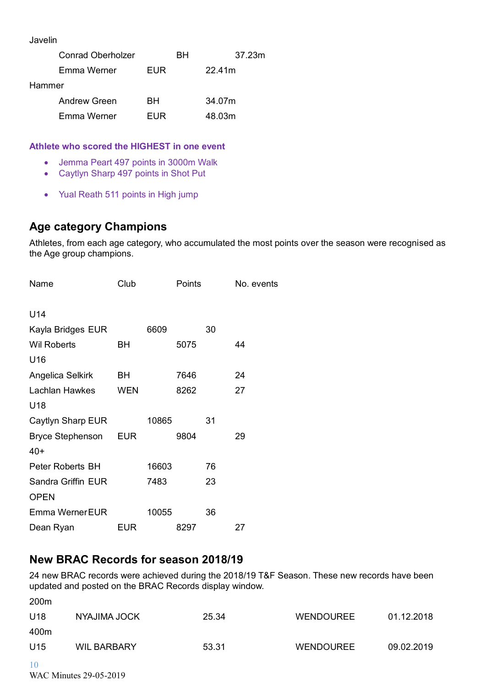Javelin

|        | <b>Conrad Oberholzer</b> |            | RН | 37.23m |
|--------|--------------------------|------------|----|--------|
|        | Emma Werner              | <b>FUR</b> |    | 22.41m |
| Hammer |                          |            |    |        |
|        | Andrew Green             | RН.        |    | 34.07m |
|        | Emma Werner              | FUR        |    | 48.03m |

#### **Athlete who scored the HIGHEST in one event**

- Jemma Peart 497 points in 3000m Walk
- Caytlyn Sharp 497 points in Shot Put
- Yual Reath 511 points in High jump

# **Age category Champions**

Athletes, from each age category, who accumulated the most points over the season were recognised as the Age group champions.

| Name                    | Club       |       | Points |    | No. events |
|-------------------------|------------|-------|--------|----|------------|
| U14                     |            |       |        |    |            |
| Kayla Bridges EUR       |            | 6609  |        | 30 |            |
| <b>Wil Roberts</b>      | ВH         |       | 5075   |    | 44         |
| U16                     |            |       |        |    |            |
| Angelica Selkirk        | BH         |       | 7646   |    | 24         |
| Lachlan Hawkes          | <b>WEN</b> |       | 8262   |    | 27         |
| U18                     |            |       |        |    |            |
| Caytlyn Sharp EUR       |            | 10865 |        | 31 |            |
| Bryce Stephenson EUR    |            |       | 9804   |    | 29         |
| $40+$                   |            |       |        |    |            |
| <b>Peter Roberts BH</b> |            | 16603 |        | 76 |            |
| Sandra Griffin EUR      |            | 7483  |        | 23 |            |
| <b>OPEN</b>             |            |       |        |    |            |
| Emma Werner EUR         |            | 10055 |        | 36 |            |
| Dean Ryan               | EUR        |       | 8297   |    | 27         |

# **New BRAC Records for season 2018/19**

24 new BRAC records were achieved during the 2018/19 T&F Season. These new records have been updated and posted on the BRAC Records display window.

| 200 <sub>m</sub> |                    |       |                  |            |
|------------------|--------------------|-------|------------------|------------|
| U18              | NYAJIMA JOCK       | 25.34 | <b>WENDOUREE</b> | 01.12.2018 |
| 400m             |                    |       |                  |            |
| U15              | <b>WIL BARBARY</b> | 53.31 | <b>WENDOUREE</b> | 09.02.2019 |
| 10               |                    |       |                  |            |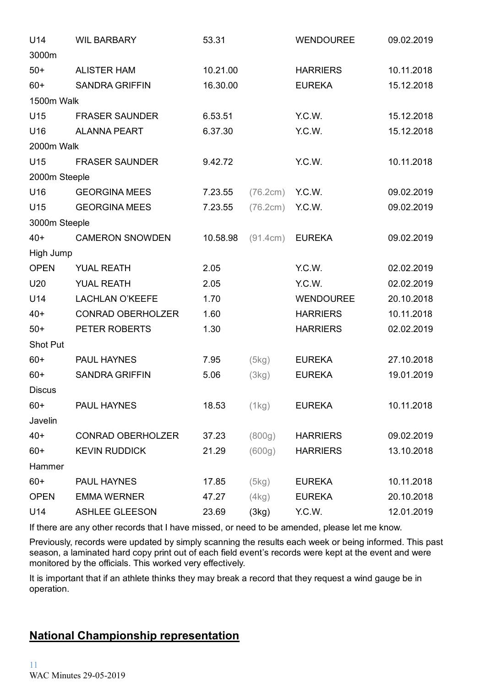| U14           | <b>WIL BARBARY</b>       | 53.31    |          | <b>WENDOUREE</b> | 09.02.2019 |
|---------------|--------------------------|----------|----------|------------------|------------|
| 3000m         |                          |          |          |                  |            |
| $50+$         | <b>ALISTER HAM</b>       | 10.21.00 |          | <b>HARRIERS</b>  | 10.11.2018 |
| $60+$         | <b>SANDRA GRIFFIN</b>    | 16.30.00 |          | <b>EUREKA</b>    | 15.12.2018 |
| 1500m Walk    |                          |          |          |                  |            |
| U15           | <b>FRASER SAUNDER</b>    | 6.53.51  |          | Y.C.W.           | 15.12.2018 |
| U16           | <b>ALANNA PEART</b>      | 6.37.30  |          | Y.C.W.           | 15.12.2018 |
| 2000m Walk    |                          |          |          |                  |            |
| U15           | <b>FRASER SAUNDER</b>    | 9.42.72  |          | Y.C.W.           | 10.11.2018 |
| 2000m Steeple |                          |          |          |                  |            |
| U16           | <b>GEORGINA MEES</b>     | 7.23.55  | (76.2cm) | Y.C.W.           | 09.02.2019 |
| U15           | <b>GEORGINA MEES</b>     | 7.23.55  | (76.2cm) | Y.C.W.           | 09.02.2019 |
| 3000m Steeple |                          |          |          |                  |            |
| $40+$         | <b>CAMERON SNOWDEN</b>   | 10.58.98 | (91.4cm) | <b>EUREKA</b>    | 09.02.2019 |
| High Jump     |                          |          |          |                  |            |
| <b>OPEN</b>   | <b>YUAL REATH</b>        | 2.05     |          | Y.C.W.           | 02.02.2019 |
| U20           | <b>YUAL REATH</b>        | 2.05     |          | Y.C.W.           | 02.02.2019 |
| U14           | <b>LACHLAN O'KEEFE</b>   | 1.70     |          | <b>WENDOUREE</b> | 20.10.2018 |
| $40+$         | <b>CONRAD OBERHOLZER</b> | 1.60     |          | <b>HARRIERS</b>  | 10.11.2018 |
| $50+$         | PETER ROBERTS            | 1.30     |          | <b>HARRIERS</b>  | 02.02.2019 |
| Shot Put      |                          |          |          |                  |            |
| $60+$         | <b>PAUL HAYNES</b>       | 7.95     | (5kg)    | <b>EUREKA</b>    | 27.10.2018 |
| $60+$         | <b>SANDRA GRIFFIN</b>    | 5.06     | (3kg)    | <b>EUREKA</b>    | 19.01.2019 |
| <b>Discus</b> |                          |          |          |                  |            |
| $60+$         | PAUL HAYNES              | 18.53    | (1kg)    | <b>EUREKA</b>    | 10.11.2018 |
| Javelin       |                          |          |          |                  |            |
| $40+$         | <b>CONRAD OBERHOLZER</b> | 37.23    | (800g)   | <b>HARRIERS</b>  | 09.02.2019 |
| $60+$         | <b>KEVIN RUDDICK</b>     | 21.29    | (600g)   | <b>HARRIERS</b>  | 13.10.2018 |
| Hammer        |                          |          |          |                  |            |
| $60+$         | PAUL HAYNES              | 17.85    | (5kg)    | <b>EUREKA</b>    | 10.11.2018 |
| <b>OPEN</b>   | <b>EMMA WERNER</b>       | 47.27    | (4kg)    | <b>EUREKA</b>    | 20.10.2018 |
| U14           | <b>ASHLEE GLEESON</b>    | 23.69    | (3kg)    | Y.C.W.           | 12.01.2019 |

If there are any other records that I have missed, or need to be amended, please let me know.

Previously, records were updated by simply scanning the results each week or being informed. This past season, a laminated hard copy print out of each field event's records were kept at the event and were monitored by the officials. This worked very effectively.

It is important that if an athlete thinks they may break a record that they request a wind gauge be in operation.

# **National Championship representation**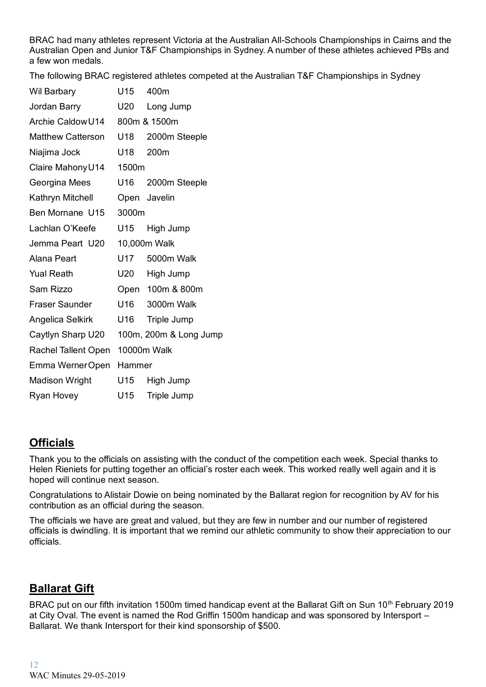BRAC had many athletes represent Victoria at the Australian All-Schools Championships in Cairns and the Australian Open and Junior T&F Championships in Sydney. A number of these athletes achieved PBs and a few won medals.

The following BRAC registered athletes competed at the Australian T&F Championships in Sydney

| <b>Wil Barbary</b>       | U15    | 400m                   |
|--------------------------|--------|------------------------|
| Jordan Barry             | U20    | Long Jump              |
| Archie Caldow U14        |        | 800m & 1500m           |
| <b>Matthew Catterson</b> | U18    | 2000m Steeple          |
| Niajima Jock             | U18    | 200m                   |
| Claire Mahony U14        | 1500m  |                        |
| Georgina Mees            | U16    | 2000m Steeple          |
| Kathryn Mitchell         |        | Open Javelin           |
| Ben Mornane U15          | 3000m  |                        |
| Lachlan O'Keefe          | U15    | High Jump              |
| Jemma Peart U20          |        | 10,000m Walk           |
| <b>Alana Peart</b>       | U17    | 5000m Walk             |
| <b>Yual Reath</b>        | U20    | High Jump              |
| Sam Rizzo                | Open   | 100m & 800m            |
| <b>Fraser Saunder</b>    | U16    | 3000m Walk             |
| Angelica Selkirk         | U16    | Triple Jump            |
| Caytlyn Sharp U20        |        | 100m, 200m & Long Jump |
| Rachel Tallent Open      |        | 10000m Walk            |
| Emma Werner Open         | Hammer |                        |
| <b>Madison Wright</b>    | U15    | High Jump              |
| Ryan Hovey               | U15    | Triple Jump            |
|                          |        |                        |

# **Officials**

Thank you to the officials on assisting with the conduct of the competition each week. Special thanks to Helen Rieniets for putting together an official's roster each week. This worked really well again and it is hoped will continue next season.

Congratulations to Alistair Dowie on being nominated by the Ballarat region for recognition by AV for his contribution as an official during the season.

The officials we have are great and valued, but they are few in number and our number of registered officials is dwindling. It is important that we remind our athletic community to show their appreciation to our officials.

# **Ballarat Gift**

BRAC put on our fifth invitation 1500m timed handicap event at the Ballarat Gift on Sun 10<sup>th</sup> February 2019 at City Oval. The event is named the Rod Griffin 1500m handicap and was sponsored by Intersport – Ballarat. We thank Intersport for their kind sponsorship of \$500.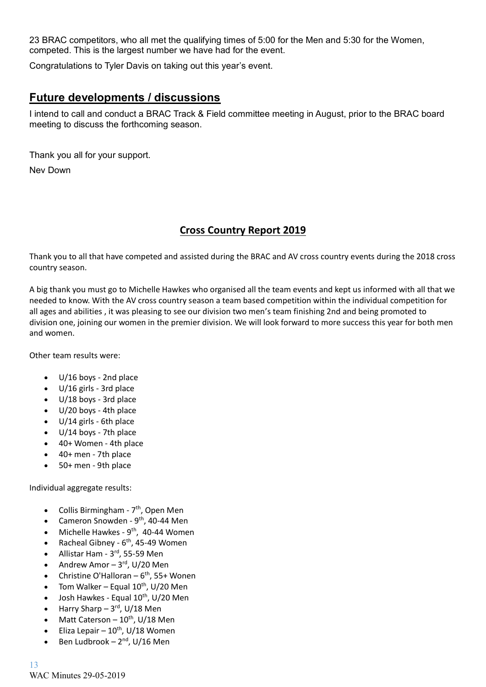23 BRAC competitors, who all met the qualifying times of 5:00 for the Men and 5:30 for the Women, competed. This is the largest number we have had for the event.

Congratulations to Tyler Davis on taking out this year's event.

# **Future developments / discussions**

I intend to call and conduct a BRAC Track & Field committee meeting in August, prior to the BRAC board meeting to discuss the forthcoming season.

Thank you all for your support.

Nev Down

## **Cross Country Report 2019**

Thank you to all that have competed and assisted during the BRAC and AV cross country events during the 2018 cross country season.

A big thank you must go to Michelle Hawkes who organised all the team events and kept us informed with all that we needed to know. With the AV cross country season a team based competition within the individual competition for all ages and abilities , it was pleasing to see our division two men's team finishing 2nd and being promoted to division one, joining our women in the premier division. We will look forward to more success this year for both men and women.

Other team results were:

- U/16 boys 2nd place
- U/16 girls 3rd place
- U/18 boys 3rd place
- U/20 boys 4th place
- U/14 girls 6th place
- U/14 boys 7th place
- 40+ Women 4th place
- 40+ men 7th place
- 50+ men 9th place

Individual aggregate results:

- Collis Birmingham 7<sup>th</sup>, Open Men
- Cameron Snowden 9<sup>th</sup>, 40-44 Men
- $\bullet$  Michelle Hawkes 9<sup>th</sup>, 40-44 Women
- Racheal Gibney  $6<sup>th</sup>$ , 45-49 Women
- Allistar Ham  $3<sup>rd</sup>$ , 55-59 Men
- Andrew Amor  $-3^{rd}$ , U/20 Men
- Christine O'Halloran  $-6<sup>th</sup>$ , 55+ Wonen
- Tom Walker Equal  $10^{th}$ , U/20 Men
- Josh Hawkes Equal 10<sup>th</sup>, U/20 Men
- Harry Sharp  $-3^{rd}$ , U/18 Men
- Matt Caterson  $10^{th}$ , U/18 Men
- Eliza Lepair  $10^{th}$ , U/18 Women
- Ben Ludbrook  $-2^{nd}$ , U/16 Men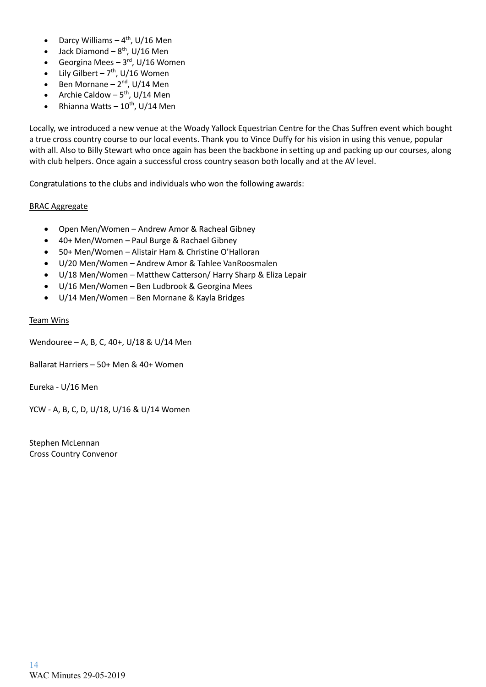- Darcy Williams  $-4$ <sup>th</sup>, U/16 Men
- Jack Diamond  $-8^{th}$ , U/16 Men
- Georgina Mees  $-3^{rd}$ , U/16 Women
- Lily Gilbert  $7<sup>th</sup>$ , U/16 Women
- Ben Mornane  $2<sup>nd</sup>$ , U/14 Men
- Archie Caldow  $5<sup>th</sup>$ , U/14 Men
- Rhianna Watts  $-10^{th}$ , U/14 Men

Locally, we introduced a new venue at the Woady Yallock Equestrian Centre for the Chas Suffren event which bought a true cross country course to our local events. Thank you to Vince Duffy for his vision in using this venue, popular with all. Also to Billy Stewart who once again has been the backbone in setting up and packing up our courses, along with club helpers. Once again a successful cross country season both locally and at the AV level.

Congratulations to the clubs and individuals who won the following awards:

#### BRAC Aggregate

- Open Men/Women Andrew Amor & Racheal Gibney
- 40+ Men/Women Paul Burge & Rachael Gibney
- 50+ Men/Women Alistair Ham & Christine O'Halloran
- U/20 Men/Women Andrew Amor & Tahlee VanRoosmalen
- U/18 Men/Women Matthew Catterson/ Harry Sharp & Eliza Lepair
- U/16 Men/Women Ben Ludbrook & Georgina Mees
- U/14 Men/Women Ben Mornane & Kayla Bridges

#### Team Wins

Wendouree – A, B, C, 40+, U/18 & U/14 Men

Ballarat Harriers – 50+ Men & 40+ Women

Eureka - U/16 Men

YCW - A, B, C, D, U/18, U/16 & U/14 Women

Stephen McLennan Cross Country Convenor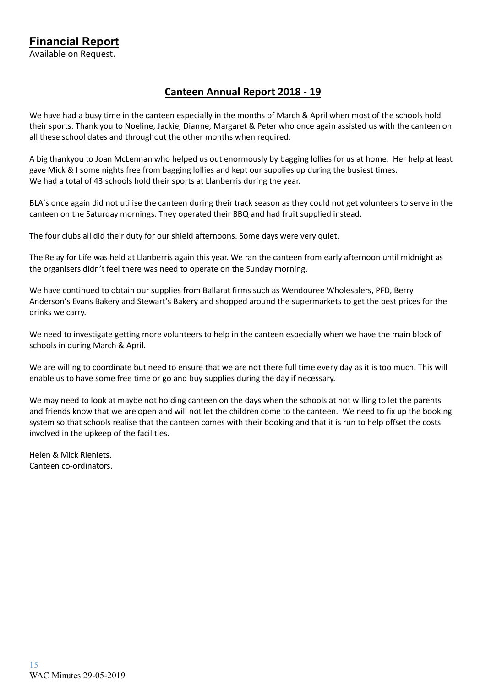**Financial Report** Available on Request.

## **Canteen Annual Report 2018 - 19**

We have had a busy time in the canteen especially in the months of March & April when most of the schools hold their sports. Thank you to Noeline, Jackie, Dianne, Margaret & Peter who once again assisted us with the canteen on all these school dates and throughout the other months when required.

A big thankyou to Joan McLennan who helped us out enormously by bagging lollies for us at home. Her help at least gave Mick & I some nights free from bagging lollies and kept our supplies up during the busiest times. We had a total of 43 schools hold their sports at Llanberris during the year.

BLA's once again did not utilise the canteen during their track season as they could not get volunteers to serve in the canteen on the Saturday mornings. They operated their BBQ and had fruit supplied instead.

The four clubs all did their duty for our shield afternoons. Some days were very quiet.

The Relay for Life was held at Llanberris again this year. We ran the canteen from early afternoon until midnight as the organisers didn't feel there was need to operate on the Sunday morning.

We have continued to obtain our supplies from Ballarat firms such as Wendouree Wholesalers, PFD, Berry Anderson's Evans Bakery and Stewart's Bakery and shopped around the supermarkets to get the best prices for the drinks we carry.

We need to investigate getting more volunteers to help in the canteen especially when we have the main block of schools in during March & April.

We are willing to coordinate but need to ensure that we are not there full time every day as it is too much. This will enable us to have some free time or go and buy supplies during the day if necessary.

We may need to look at maybe not holding canteen on the days when the schools at not willing to let the parents and friends know that we are open and will not let the children come to the canteen. We need to fix up the booking system so that schools realise that the canteen comes with their booking and that it is run to help offset the costs involved in the upkeep of the facilities.

Helen & Mick Rieniets. Canteen co-ordinators.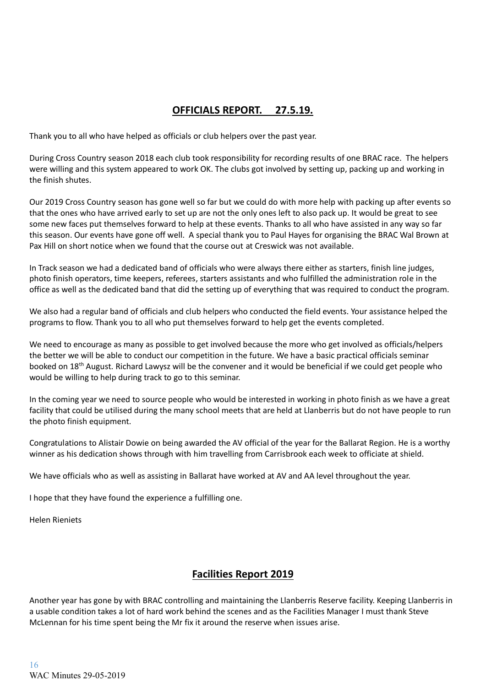# **OFFICIALS REPORT. 27.5.19.**

Thank you to all who have helped as officials or club helpers over the past year.

During Cross Country season 2018 each club took responsibility for recording results of one BRAC race. The helpers were willing and this system appeared to work OK. The clubs got involved by setting up, packing up and working in the finish shutes.

Our 2019 Cross Country season has gone well so far but we could do with more help with packing up after events so that the ones who have arrived early to set up are not the only ones left to also pack up. It would be great to see some new faces put themselves forward to help at these events. Thanks to all who have assisted in any way so far this season. Our events have gone off well. A special thank you to Paul Hayes for organising the BRAC Wal Brown at Pax Hill on short notice when we found that the course out at Creswick was not available.

In Track season we had a dedicated band of officials who were always there either as starters, finish line judges, photo finish operators, time keepers, referees, starters assistants and who fulfilled the administration role in the office as well as the dedicated band that did the setting up of everything that was required to conduct the program.

We also had a regular band of officials and club helpers who conducted the field events. Your assistance helped the programs to flow. Thank you to all who put themselves forward to help get the events completed.

We need to encourage as many as possible to get involved because the more who get involved as officials/helpers the better we will be able to conduct our competition in the future. We have a basic practical officials seminar booked on 18th August. Richard Lawysz will be the convener and it would be beneficial if we could get people who would be willing to help during track to go to this seminar.

In the coming year we need to source people who would be interested in working in photo finish as we have a great facility that could be utilised during the many school meets that are held at Llanberris but do not have people to run the photo finish equipment.

Congratulations to Alistair Dowie on being awarded the AV official of the year for the Ballarat Region. He is a worthy winner as his dedication shows through with him travelling from Carrisbrook each week to officiate at shield.

We have officials who as well as assisting in Ballarat have worked at AV and AA level throughout the year.

I hope that they have found the experience a fulfilling one.

Helen Rieniets

### **Facilities Report 2019**

Another year has gone by with BRAC controlling and maintaining the Llanberris Reserve facility. Keeping Llanberris in a usable condition takes a lot of hard work behind the scenes and as the Facilities Manager I must thank Steve McLennan for his time spent being the Mr fix it around the reserve when issues arise.